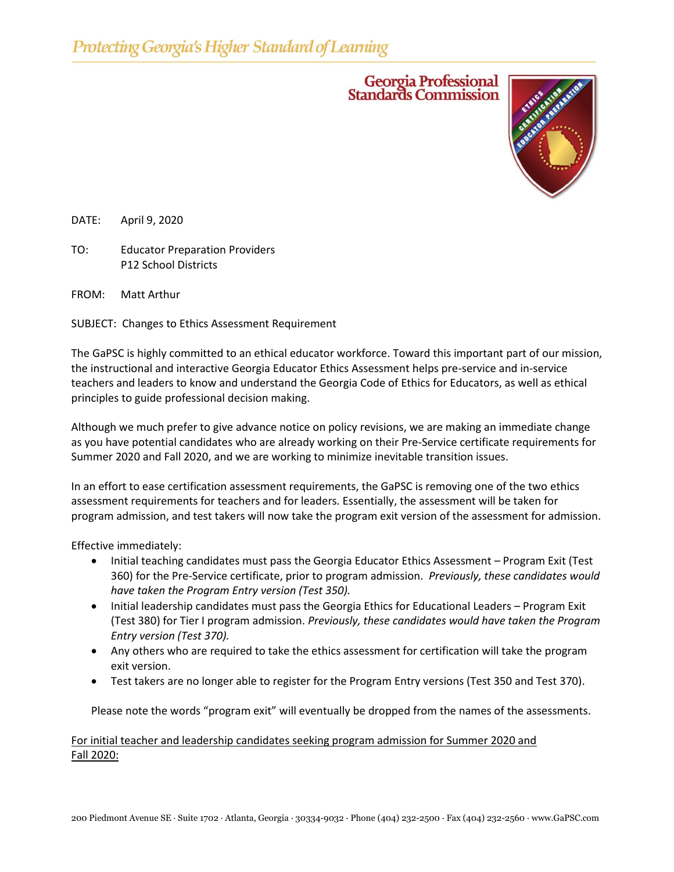## Georgia Professional<br>Standards Commission



DATE: April 9, 2020

TO: Educator Preparation Providers P12 School Districts

FROM: Matt Arthur

SUBJECT: Changes to Ethics Assessment Requirement

The GaPSC is highly committed to an ethical educator workforce. Toward this important part of our mission, the instructional and interactive Georgia Educator Ethics Assessment helps pre-service and in-service teachers and leaders to know and understand the Georgia Code of Ethics for Educators, as well as ethical principles to guide professional decision making.

Although we much prefer to give advance notice on policy revisions, we are making an immediate change as you have potential candidates who are already working on their Pre-Service certificate requirements for Summer 2020 and Fall 2020, and we are working to minimize inevitable transition issues.

In an effort to ease certification assessment requirements, the GaPSC is removing one of the two ethics assessment requirements for teachers and for leaders. Essentially, the assessment will be taken for program admission, and test takers will now take the program exit version of the assessment for admission.

Effective immediately:

- Initial teaching candidates must pass the Georgia Educator Ethics Assessment Program Exit (Test 360) for the Pre-Service certificate, prior to program admission. *Previously, these candidates would have taken the Program Entry version (Test 350).*
- Initial leadership candidates must pass the Georgia Ethics for Educational Leaders Program Exit (Test 380) for Tier I program admission. *Previously, these candidates would have taken the Program Entry version (Test 370).*
- Any others who are required to take the ethics assessment for certification will take the program exit version.
- Test takers are no longer able to register for the Program Entry versions (Test 350 and Test 370).

Please note the words "program exit" will eventually be dropped from the names of the assessments.

## For initial teacher and leadership candidates seeking program admission for Summer 2020 and Fall 2020: